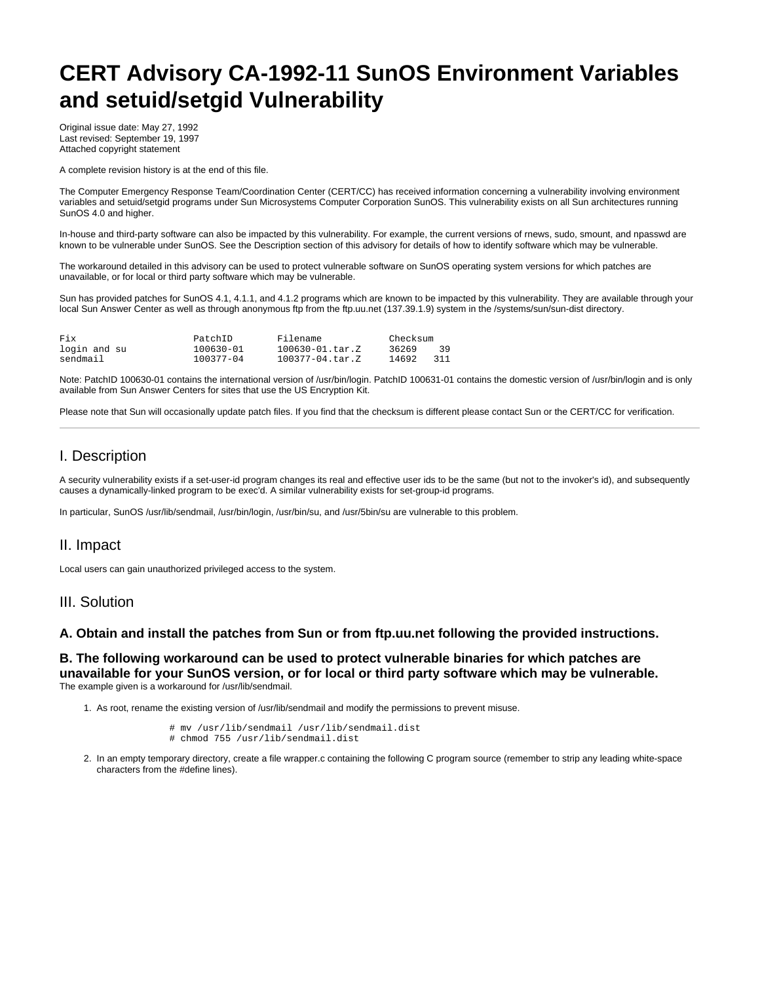# **CERT Advisory CA-1992-11 SunOS Environment Variables and setuid/setgid Vulnerability**

Original issue date: May 27, 1992 Last revised: September 19, 1997 Attached copyright statement

A complete revision history is at the end of this file.

The Computer Emergency Response Team/Coordination Center (CERT/CC) has received information concerning a vulnerability involving environment variables and setuid/setgid programs under Sun Microsystems Computer Corporation SunOS. This vulnerability exists on all Sun architectures running SunOS 4.0 and higher.

In-house and third-party software can also be impacted by this vulnerability. For example, the current versions of rnews, sudo, smount, and npasswd are known to be vulnerable under SunOS. See the Description section of this advisory for details of how to identify software which may be vulnerable.

The workaround detailed in this advisory can be used to protect vulnerable software on SunOS operating system versions for which patches are unavailable, or for local or third party software which may be vulnerable.

Sun has provided patches for SunOS 4.1, 4.1.1, and 4.1.2 programs which are known to be impacted by this vulnerability. They are available through your local Sun Answer Center as well as through anonymous ftp from the ftp.uu.net (137.39.1.9) system in the /systems/sun/sun-dist directory.

| Fix          | PatchID       | Filename               | Checksum |       |
|--------------|---------------|------------------------|----------|-------|
| login and su | $100630 - 01$ | $100630 - 01$ . tar. Z | 36269    | 39    |
| sendmail     | 100377-04     | 100377-04.tar.Z        | 14692    | - 311 |

Note: PatchID 100630-01 contains the international version of /usr/bin/login. PatchID 100631-01 contains the domestic version of /usr/bin/login and is only available from Sun Answer Centers for sites that use the US Encryption Kit.

Please note that Sun will occasionally update patch files. If you find that the checksum is different please contact Sun or the CERT/CC for verification.

## I. Description

A security vulnerability exists if a set-user-id program changes its real and effective user ids to be the same (but not to the invoker's id), and subsequently causes a dynamically-linked program to be exec'd. A similar vulnerability exists for set-group-id programs.

In particular, SunOS /usr/lib/sendmail, /usr/bin/login, /usr/bin/su, and /usr/5bin/su are vulnerable to this problem.

### II. Impact

Local users can gain unauthorized privileged access to the system.

#### III. Solution

#### **A. Obtain and install the patches from Sun or from ftp.uu.net following the provided instructions.**

**B. The following workaround can be used to protect vulnerable binaries for which patches are unavailable for your SunOS version, or for local or third party software which may be vulnerable.** The example given is a workaround for /usr/lib/sendmail.

1. As root, rename the existing version of /usr/lib/sendmail and modify the permissions to prevent misuse.

 # mv /usr/lib/sendmail /usr/lib/sendmail.dist # chmod 755 /usr/lib/sendmail.dist

2. In an empty temporary directory, create a file wrapper.c containing the following C program source (remember to strip any leading white-space characters from the #define lines).